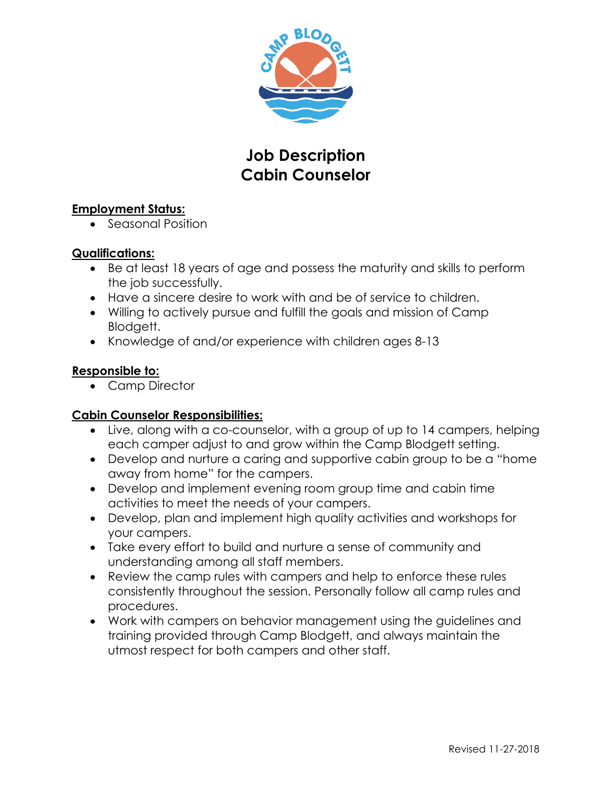

# **Job Description Cabin Counselor**

#### **Employment Status:**

• Seasonal Position

### **Qualifications:**

- Be at least 18 years of age and possess the maturity and skills to perform the job successfully.
- Have a sincere desire to work with and be of service to children.
- Willing to actively pursue and fulfill the goals and mission of Camp Blodgett.
- Knowledge of and/or experience with children ages 8-13

### **Responsible to:**

• Camp Director

## **Cabin Counselor Responsibilities:**

- Live, along with a co-counselor, with a group of up to 14 campers, helping each camper adjust to and grow within the Camp Blodgett setting.
- Develop and nurture a caring and supportive cabin group to be a "home away from home" for the campers.
- Develop and implement evening room group time and cabin time activities to meet the needs of your campers.
- Develop, plan and implement high quality activities and workshops for your campers.
- Take every effort to build and nurture a sense of community and understanding among all staff members.
- Review the camp rules with campers and help to enforce these rules consistently throughout the session. Personally follow all camp rules and procedures.
- Work with campers on behavior management using the guidelines and training provided through Camp Blodgett, and always maintain the utmost respect for both campers and other staff.